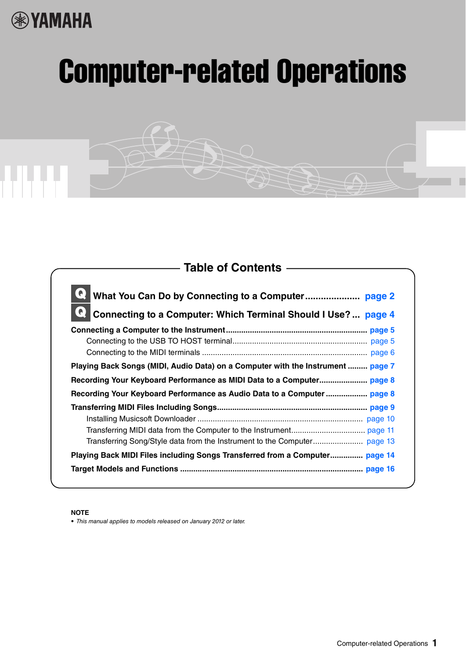# **®**YAMAHA

# Computer-related Operations

# **Table of Contents**

| Connecting to a Computer: Which Terminal Should I Use?  page 4                  |
|---------------------------------------------------------------------------------|
|                                                                                 |
|                                                                                 |
| Playing Back Songs (MIDI, Audio Data) on a Computer with the Instrument  page 7 |
|                                                                                 |
|                                                                                 |
|                                                                                 |
|                                                                                 |
|                                                                                 |
|                                                                                 |
| Playing Back MIDI Files including Songs Transferred from a Computer page 14     |
|                                                                                 |

#### **NOTE**

• This manual applies to models released on January 2012 or later.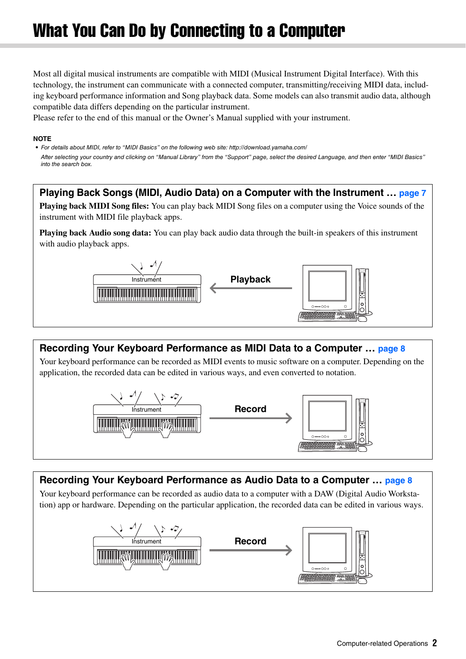# <span id="page-1-0"></span>What You Can Do by Connecting to a Computer

Most all digital musical instruments are compatible with MIDI (Musical Instrument Digital Interface). With this technology, the instrument can communicate with a connected computer, transmitting/receiving MIDI data, including keyboard performance information and Song playback data. Some models can also transmit audio data, although compatible data differs depending on the particular instrument.

Please refer to the end of this manual or the Owner's Manual supplied with your instrument.

#### **NOTE**

• For details about MIDI, refer to "MIDI Basics" on the following web site: http://download.yamaha.com/ After selecting your country and clicking on "Manual Library" from the "Support" page, select the desired Language, and then enter "MIDI Basics" into the search box.

#### **[Playing Back Songs \(MIDI, Audio Data\) on a Computer with the Instrument](#page-6-0) … [page 7](#page-6-0)**

**Playing back MIDI Song files:** You can play back MIDI Song files on a computer using the Voice sounds of the instrument with MIDI file playback apps.

**Playing back Audio song data:** You can play back audio data through the built-in speakers of this instrument with audio playback apps.



#### **[Recording Your Keyboard Performance as MIDI Data to a Computer](#page-7-0) … [page 8](#page-7-0)**

Your keyboard performance can be recorded as MIDI events to music software on a computer. Depending on the application, the recorded data can be edited in various ways, and even converted to notation.



#### **[Recording Your Keyboard Performance as Audio Data to a Computer](#page-7-1) … [page 8](#page-7-1)**

Your keyboard performance can be recorded as audio data to a computer with a DAW (Digital Audio Workstation) app or hardware. Depending on the particular application, the recorded data can be edited in various ways.

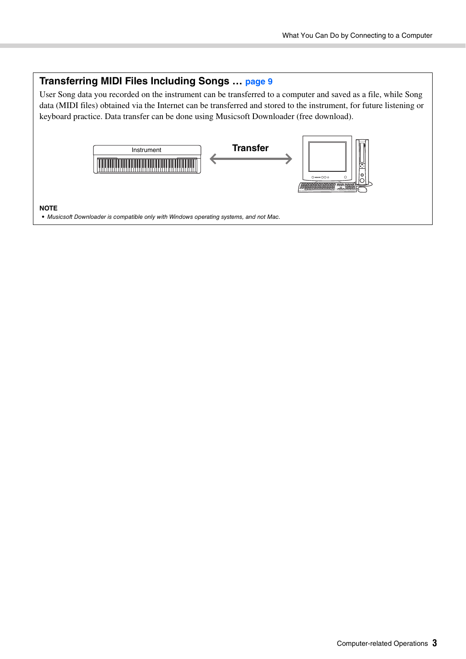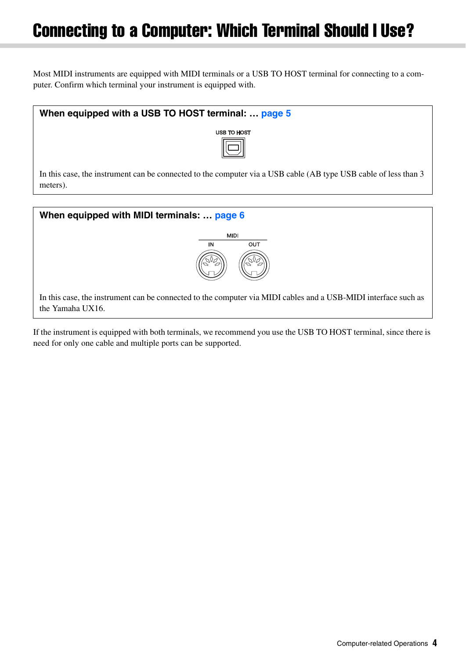# <span id="page-3-0"></span>Connecting to a Computer: Which Terminal Should I Use?

Most MIDI instruments are equipped with MIDI terminals or a USB TO HOST terminal for connecting to a computer. Confirm which terminal your instrument is equipped with.





In this case, the instrument can be connected to the computer via MIDI cables and a USB-MIDI interface such as the Yamaha UX16.

If the instrument is equipped with both terminals, we recommend you use the USB TO HOST terminal, since there is need for only one cable and multiple ports can be supported.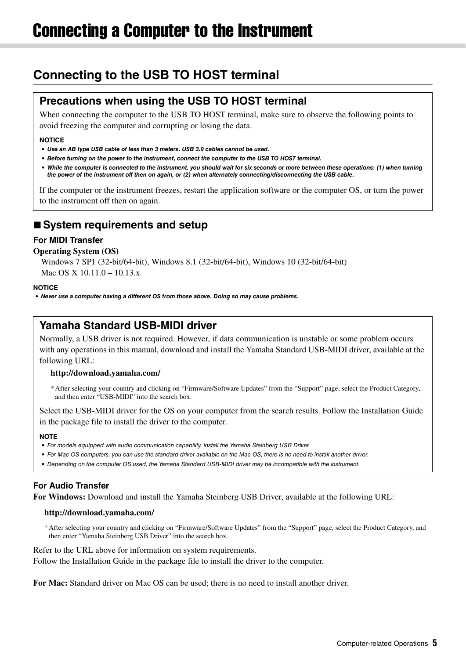# <span id="page-4-1"></span><span id="page-4-0"></span>**Connecting to the USB TO HOST terminal**

### **Precautions when using the USB TO HOST terminal**

When connecting the computer to the USB TO HOST terminal, make sure to observe the following points to avoid freezing the computer and corrupting or losing the data.

#### **NOTICE**

- *Use an AB type USB cable of less than 3 meters. USB 3.0 cables cannot be used.*
- *Before turning on the power to the instrument, connect the computer to the USB TO HOST terminal.*
- *While the computer is connected to the instrument, you should wait for six seconds or more between these operations: (1) when turning the power of the instrument off then on again, or (2) when alternately connecting/disconnecting the USB cable.*

If the computer or the instrument freezes, restart the application software or the computer OS, or turn the power to the instrument off then on again.

### ■ System requirements and setup

#### **For MIDI Transfer**

#### **Operating System (OS)**

Windows 7 SP1 (32-bit/64-bit), Windows 8.1 (32-bit/64-bit), Windows 10 (32-bit/64-bit) Mac OS X 10.11.0 – 10.13.x

#### **NOTICE**

*• Never use a computer having a different OS from those above. Doing so may cause problems.* 

### **Yamaha Standard USB-MIDI driver**

Normally, a USB driver is not required. However, if data communication is unstable or some problem occurs with any operations in this manual, download and install the Yamaha Standard USB-MIDI driver, available at the following URL:

#### **http://download.yamaha.com/**

\* After selecting your country and clicking on "Firmware/Software Updates" from the "Support" page, select the Product Category, and then enter "USB-MIDI" into the search box.

Select the USB-MIDI driver for the OS on your computer from the search results. Follow the Installation Guide in the package file to install the driver to the computer.

#### **NOTE**

- For models equipped with audio communication capability, install the Yamaha Steinberg USB Driver.
- For Mac OS computers, you can use the standard driver available on the Mac OS; there is no need to install another driver.
- Depending on the computer OS used, the Yamaha Standard USB-MIDI driver may be incompatible with the instrument.

#### **For Audio Transfer**

**For Windows:** Download and install the Yamaha Steinberg USB Driver, available at the following URL:

#### **http://download.yamaha.com/**

\* After selecting your country and clicking on "Firmware/Software Updates" from the "Support" page, select the Product Category, and then enter "Yamaha Steinberg USB Driver" into the search box.

Refer to the URL above for information on system requirements.

Follow the Installation Guide in the package file to install the driver to the computer.

**For Mac:** Standard driver on Mac OS can be used; there is no need to install another driver.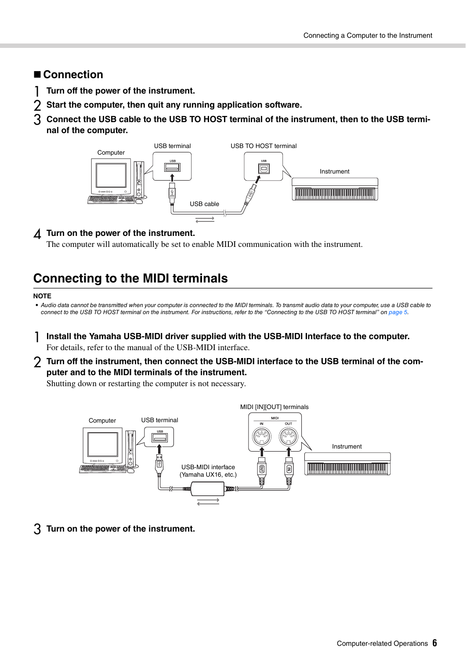#### **Connection**

- 1 **Turn off the power of the instrument.**
- 2 **Start the computer, then quit any running application software.**
- 3 **Connect the USB cable to the USB TO HOST terminal of the instrument, then to the USB terminal of the computer.**



#### 4 **Turn on the power of the instrument.**

The computer will automatically be set to enable MIDI communication with the instrument.

# <span id="page-5-0"></span>**Connecting to the MIDI terminals**

#### **NOTE**

• Audio data cannot be transmitted when your computer is connected to the MIDI terminals. To transmit audio data to your computer, use a USB cable to connect to the USB TO HOST terminal on the instrument. For instructions, refer to the "Connecting to the USB TO HOST terminal" on [page 5.](#page-4-1)

- 1 **Install the Yamaha USB-MIDI driver supplied with the USB-MIDI Interface to the computer.**  For details, refer to the manual of the USB-MIDI interface.
- 2 **Turn off the instrument, then connect the USB-MIDI interface to the USB terminal of the computer and to the MIDI terminals of the instrument.**

Shutting down or restarting the computer is not necessary.



3 **Turn on the power of the instrument.**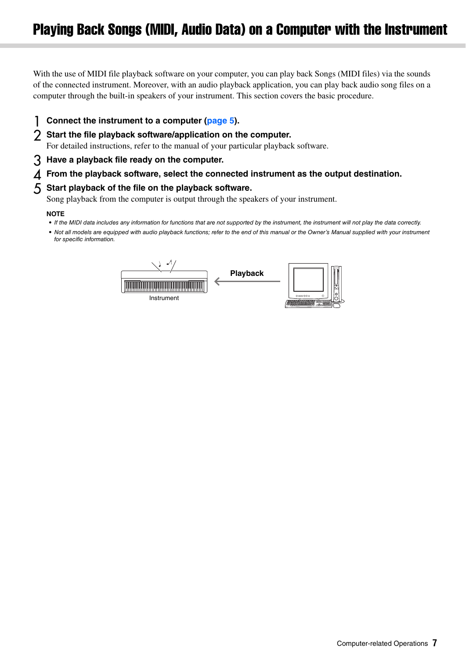<span id="page-6-0"></span>With the use of MIDI file playback software on your computer, you can play back Songs (MIDI files) via the sounds of the connected instrument. Moreover, with an audio playback application, you can play back audio song files on a computer through the built-in speakers of your instrument. This section covers the basic procedure.

- 1 **Connect the instrument to a computer ([page 5](#page-4-0)).**
- 2 **Start the file playback software/application on the computer.**

For detailed instructions, refer to the manual of your particular playback software.

- 3 **Have a playback file ready on the computer.**
- 4 **From the playback software, select the connected instrument as the output destination.**

#### 5 **Start playback of the file on the playback software.**

Song playback from the computer is output through the speakers of your instrument.

#### **NOTE**

- If the MIDI data includes any information for functions that are not supported by the instrument, the instrument will not play the data correctly.
- Not all models are equipped with audio playback functions; refer to the end of this manual or the Owner's Manual supplied with your instrument for specific information.

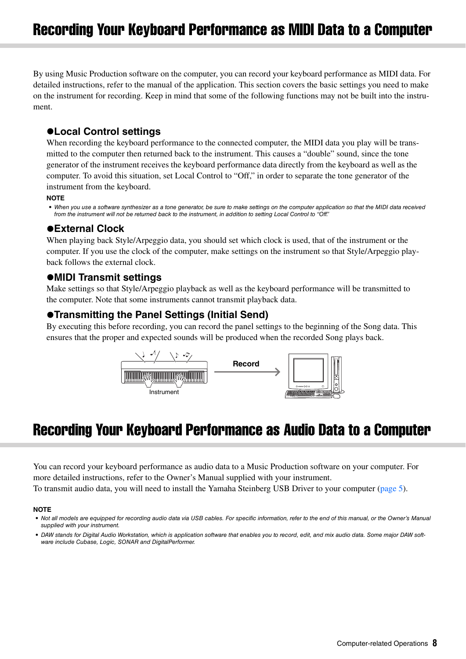<span id="page-7-0"></span>By using Music Production software on the computer, you can record your keyboard performance as MIDI data. For detailed instructions, refer to the manual of the application. This section covers the basic settings you need to make on the instrument for recording. Keep in mind that some of the following functions may not be built into the instrument.

#### **Local Control settings**

When recording the keyboard performance to the connected computer, the MIDI data you play will be transmitted to the computer then returned back to the instrument. This causes a "double" sound, since the tone generator of the instrument receives the keyboard performance data directly from the keyboard as well as the computer. To avoid this situation, set Local Control to "Off," in order to separate the tone generator of the instrument from the keyboard.

#### **NOTE**

• When you use a software synthesizer as a tone generator, be sure to make settings on the computer application so that the MIDI data received from the instrument will not be returned back to the instrument, in addition to setting Local Control to "Off"

#### **External Clock**

When playing back Style/Arpeggio data, you should set which clock is used, that of the instrument or the computer. If you use the clock of the computer, make settings on the instrument so that Style/Arpeggio playback follows the external clock.

#### **MIDI Transmit settings**

Make settings so that Style/Arpeggio playback as well as the keyboard performance will be transmitted to the computer. Note that some instruments cannot transmit playback data.

#### **Transmitting the Panel Settings (Initial Send)**

By executing this before recording, you can record the panel settings to the beginning of the Song data. This ensures that the proper and expected sounds will be produced when the recorded Song plays back.



# <span id="page-7-1"></span>Recording Your Keyboard Performance as Audio Data to a Computer

You can record your keyboard performance as audio data to a Music Production software on your computer. For more detailed instructions, refer to the Owner's Manual supplied with your instrument. To transmit audio data, you will need to install the Yamaha Steinberg USB Driver to your computer [\(page 5\)](#page-4-0).

#### **NOTE**

<sup>•</sup> Not all models are equipped for recording audio data via USB cables. For specific information, refer to the end of this manual, or the Owner's Manual supplied with your instrument.

<sup>•</sup> DAW stands for Digital Audio Workstation, which is application software that enables you to record, edit, and mix audio data. Some major DAW software include Cubase, Logic, SONAR and DigitalPerformer.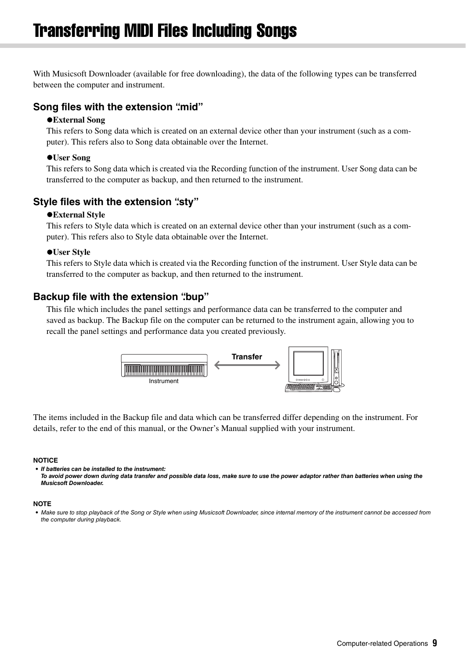<span id="page-8-0"></span>With Musicsoft Downloader (available for free downloading), the data of the following types can be transferred between the computer and instrument.

#### **Song files with the extension ".mid"**

#### **External Song**

This refers to Song data which is created on an external device other than your instrument (such as a computer). This refers also to Song data obtainable over the Internet.

#### **User Song**

This refers to Song data which is created via the Recording function of the instrument. User Song data can be transferred to the computer as backup, and then returned to the instrument.

#### **Style files with the extension ".sty"**

#### **External Style**

This refers to Style data which is created on an external device other than your instrument (such as a computer). This refers also to Style data obtainable over the Internet.

#### **User Style**

This refers to Style data which is created via the Recording function of the instrument. User Style data can be transferred to the computer as backup, and then returned to the instrument.

#### **Backup file with the extension "bup"**

This file which includes the panel settings and performance data can be transferred to the computer and saved as backup. The Backup file on the computer can be returned to the instrument again, allowing you to recall the panel settings and performance data you created previously.



The items included in the Backup file and data which can be transferred differ depending on the instrument. For details, refer to the end of this manual, or the Owner's Manual supplied with your instrument.

#### **NOTICE**

*• If batteries can be installed to the instrument:* 

*To avoid power down during data transfer and possible data loss, make sure to use the power adaptor rather than batteries when using the Musicsoft Downloader.* 

#### **NOTE**

<sup>•</sup> Make sure to stop playback of the Song or Style when using Musicsoft Downloader, since internal memory of the instrument cannot be accessed from the computer during playback.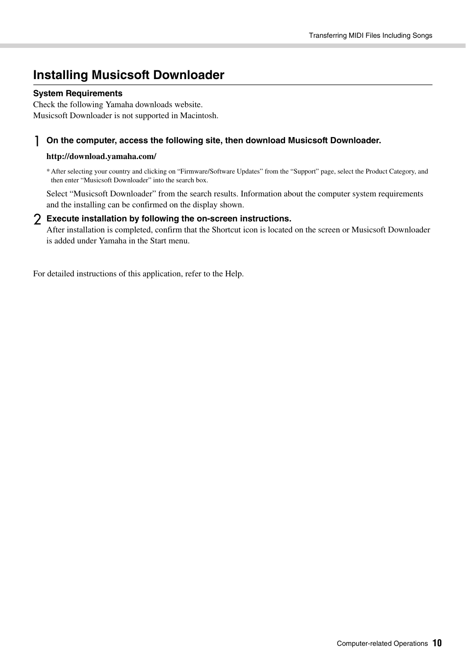## <span id="page-9-0"></span>**Installing Musicsoft Downloader**

#### **System Requirements**

Check the following Yamaha downloads website. Musicsoft Downloader is not supported in Macintosh.

#### 1 **On the computer, access the following site, then download Musicsoft Downloader.**

#### **http://download.yamaha.com/**

\* After selecting your country and clicking on "Firmware/Software Updates" from the "Support" page, select the Product Category, and then enter "Musicsoft Downloader" into the search box.

Select "Musicsoft Downloader" from the search results. Information about the computer system requirements and the installing can be confirmed on the display shown.

#### 2 **Execute installation by following the on-screen instructions.**

After installation is completed, confirm that the Shortcut icon is located on the screen or Musicsoft Downloader is added under Yamaha in the Start menu.

For detailed instructions of this application, refer to the Help.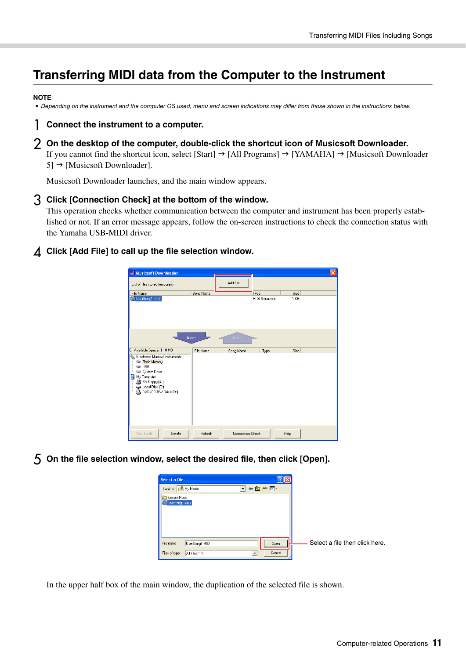# <span id="page-10-0"></span>**Transferring MIDI data from the Computer to the Instrument**

#### **NOTE**

• Depending on the instrument and the computer OS used, menu and screen indications may differ from those shown in the instructions below.

#### 1 **Connect the instrument to a computer.**

#### 2 **On the desktop of the computer, double-click the shortcut icon of Musicsoft Downloader.**

If you cannot find the shortcut icon, select [Start]  $\rightarrow$  [All Programs]  $\rightarrow$  [YAMAHA]  $\rightarrow$  [Musicsoft Downloader  $5] \rightarrow$  [Musicsoft Downloader].

Musicsoft Downloader launches, and the main window appears.

#### 3 **Click [Connection Check] at the bottom of the window.**

This operation checks whether communication between the computer and instrument has been properly established or not. If an error message appears, follow the on-screen instructions to check the connection status with the Yamaha USB-MIDI driver.

#### 4 **Click [Add File] to call up the file selection window.**

| Musicsoft Downloader                                                                                                                                                   |           |                         |               |      | $\vert \mathsf{x} \vert$ |
|------------------------------------------------------------------------------------------------------------------------------------------------------------------------|-----------|-------------------------|---------------|------|--------------------------|
| List of files stored temporarily                                                                                                                                       |           | Add File                |               |      |                          |
| File Name                                                                                                                                                              | Song Name |                         | Type          | Size |                          |
| UserSong1.MID                                                                                                                                                          |           |                         | MIDI Sequence | 1 KB |                          |
| 0: Available Space: 1.10 MB                                                                                                                                            | Move      | Move                    |               |      |                          |
| Electronic Musical Instruments<br>Flash Memory<br>$\Rightarrow$ USB<br>System Drive<br>My Computer<br>3½ Floppy (A:)<br>Disk (C:)<br>DVD/CD-RW Drive (D:)<br>$\bullet$ | File Name | Song Name               | Type          | Size |                          |
| New Folder<br>Delete                                                                                                                                                   | Refresh   | <b>Connection Check</b> |               | Help |                          |

5 **On the file selection window, select the desired file, then click [Open].** 



In the upper half box of the main window, the duplication of the selected file is shown.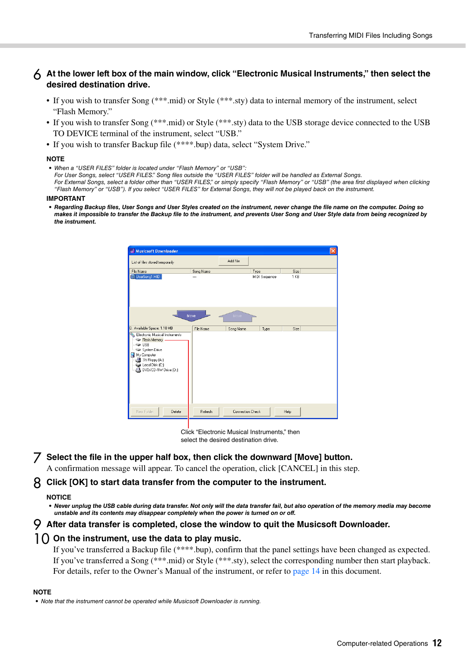#### 6 **At the lower left box of the main window, click "Electronic Musical Instruments," then select the desired destination drive.**

- If you wish to transfer Song (\*\*\*.mid) or Style (\*\*\*.sty) data to internal memory of the instrument, select "Flash Memory."
- If you wish to transfer Song (\*\*\*.mid) or Style (\*\*\*.sty) data to the USB storage device connected to the USB TO DEVICE terminal of the instrument, select "USB."
- If you wish to transfer Backup file (\*\*\*\*.bup) data, select "System Drive."

#### **NOTE**

• When a "USER FILES" folder is located under "Flash Memory" or "USB": For User Songs, select "USER FILES." Song files outside the "USER FILES" folder will be handled as External Songs. For External Songs, select a folder other than "USER FILES," or simply specify "Flash Memory" or "USB" (the area first displayed when clicking "Flash Memory" or "USB"). If you select "USER FILES" for External Songs, they will not be played back on the instrument.

#### **IMPORTANT**

*• Regarding Backup files, User Songs and User Styles created on the instrument, never change the file name on the computer. Doing so makes it impossible to transfer the Backup file to the instrument, and prevents User Song and User Style data from being recognized by the instrument.* 

| Musicsoft Downloader                                                                                                                                            |           |                         |               |      | $\overline{\mathsf{x}}$ |
|-----------------------------------------------------------------------------------------------------------------------------------------------------------------|-----------|-------------------------|---------------|------|-------------------------|
| List of files stored temporarily                                                                                                                                |           | Add File                |               |      |                         |
| File Name                                                                                                                                                       | Song Name |                         | Type          | Size |                         |
| S. UserSong1.MID                                                                                                                                                |           |                         | MIDI Sequence | 1 KB |                         |
|                                                                                                                                                                 | Move      | Move                    |               |      |                         |
| 0: Available Space: 1.10 MB                                                                                                                                     | File Name | Song Name               | Type          | Size |                         |
| Electronic Musical Instruments<br>Flash Memory<br>$\Rightarrow$ USB<br>System Drive<br>My Computer<br>3½ Floppy (A:)<br>Local Disk (C:)<br>DVD/CD-RW Drive (D:) |           |                         |               |      |                         |
| New Folder<br>Delete                                                                                                                                            | Refresh   | <b>Connection Check</b> |               | Help |                         |

Click "Electronic Musical Instruments," then select the desired destination drive.

7 **Select the file in the upper half box, then click the downward [Move] button.**  A confirmation message will appear. To cancel the operation, click [CANCEL] in this step.

#### 8 **Click [OK] to start data transfer from the computer to the instrument.**

#### **NOTICE**

- Never unplug the USB cable during data transfer. Not only will the data transfer fail, but also operation of the memory media may become *unstable and its contents may disappear completely when the power is turned on or off.*
- 9 **After data transfer is completed, close the window to quit the Musicsoft Downloader.**

#### 10 **On the instrument, use the data to play music.**

If you've transferred a Backup file (\*\*\*\*.bup), confirm that the panel settings have been changed as expected. If you've transferred a Song (\*\*\*.mid) or Style (\*\*\*.sty), select the corresponding number then start playback. For details, refer to the Owner's Manual of the instrument, or refer to [page 14](#page-13-0) in this document.

#### **NOTE**

• Note that the instrument cannot be operated while Musicsoft Downloader is running.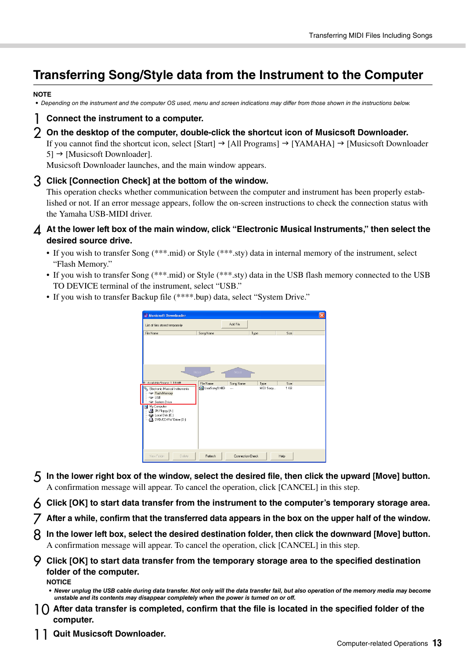# <span id="page-12-0"></span>**Transferring Song/Style data from the Instrument to the Computer**

#### **NOTE**

• Depending on the instrument and the computer OS used, menu and screen indications may differ from those shown in the instructions below.

#### 1 **Connect the instrument to a computer.**

2 **On the desktop of the computer, double-click the shortcut icon of Musicsoft Downloader.** 

If you cannot find the shortcut icon, select [Start]  $\rightarrow$  [All Programs]  $\rightarrow$  [YAMAHA]  $\rightarrow$  [Musicsoft Downloader  $5$ ]  $\rightarrow$  [Musicsoft Downloader].

Musicsoft Downloader launches, and the main window appears.

#### 3 **Click [Connection Check] at the bottom of the window.**

This operation checks whether communication between the computer and instrument has been properly established or not. If an error message appears, follow the on-screen instructions to check the connection status with the Yamaha USB-MIDI driver.

- 4 **At the lower left box of the main window, click "Electronic Musical Instruments," then select the desired source drive.** 
	- If you wish to transfer Song (\*\*\*.mid) or Style (\*\*\*.sty) data in internal memory of the instrument, select "Flash Memory."
	- If you wish to transfer Song (\*\*\*.mid) or Style (\*\*\*.sty) data in the USB flash memory connected to the USB TO DEVICE terminal of the instrument, select "USB."
	- If you wish to transfer Backup file (\*\*\*\*.bup) data, select "System Drive."

| Musicsoft Downloader                                                                             |               |                         |           |      | $\vert x \vert$ |
|--------------------------------------------------------------------------------------------------|---------------|-------------------------|-----------|------|-----------------|
| List of files stored temporarily                                                                 |               | Add File                |           |      |                 |
| File Name                                                                                        | Song Name     | Type                    |           | Size |                 |
|                                                                                                  | Move          | Move                    |           |      |                 |
| <sup>D</sup> Available Space: 1.10 MR                                                            | File Name     | Song Name               | Type      | Size |                 |
| Electronic Musical Instruments<br>Flash Memory<br>$\rightarrow$ USB<br>System Drive              | UserSong1.MID | $\cdots$                | MIDI Segu | 1 KB |                 |
| My Computer<br><b>Figure</b><br>3% Floppy (A:)<br>Disk (C:)<br>DVD/CD-RW Drive (D:)<br>$\bullet$ |               |                         |           |      |                 |
| New Folder<br>Delete                                                                             | Refresh       | <b>Connection Check</b> |           | Help |                 |

- 5 **In the lower right box of the window, select the desired file, then click the upward [Move] button.**  A confirmation message will appear. To cancel the operation, click [CANCEL] in this step.
- 6 **Click [OK] to start data transfer from the instrument to the computer's temporary storage area.**
- 7 **After a while, confirm that the transferred data appears in the box on the upper half of the window.**
- 8 **In the lower left box, select the desired destination folder, then click the downward [Move] button.**  A confirmation message will appear. To cancel the operation, click [CANCEL] in this step.

9 **Click [OK] to start data transfer from the temporary storage area to the specified destination folder of the computer.** 

**NOTICE**

- 10 **After data transfer is completed, confirm that the file is located in the specified folder of the computer.**
- **Quit Musicsoft Downloader.**

*<sup>•</sup> Never unplug the USB cable during data transfer. Not only will the data transfer fail, but also operation of the memory media may become unstable and its contents may disappear completely when the power is turned on or off.*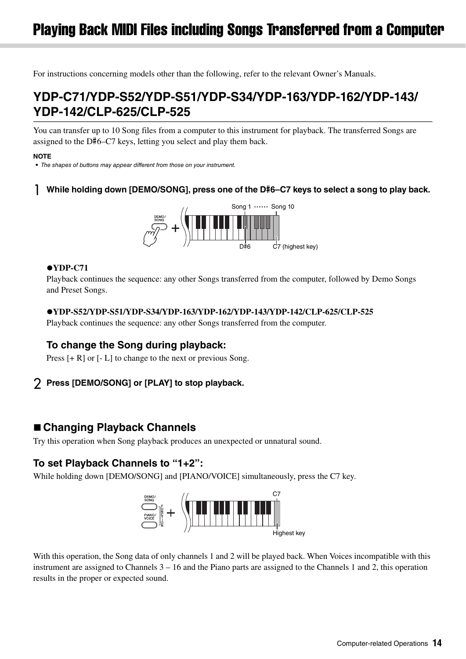<span id="page-13-0"></span>For instructions concerning models other than the following, refer to the relevant Owner's Manuals.

# **YDP-C71/YDP-S52/YDP-S51/YDP-S34/YDP-163/YDP-162/YDP-143/ YDP-142/CLP-625/CLP-525**

You can transfer up to 10 Song files from a computer to this instrument for playback. The transferred Songs are assigned to the D#6–C7 keys, letting you select and play them back.

#### **NOTE**

• The shapes of buttons may appear different from those on your instrument.

#### 1 **While holding down [DEMO/SONG], press one of the D**#**6–C7 keys to select a song to play back.**



#### **YDP-C71**

Playback continues the sequence: any other Songs transferred from the computer, followed by Demo Songs and Preset Songs.

#### **YDP-S52/YDP-S51/YDP-S34/YDP-163/YDP-162/YDP-143/YDP-142/CLP-625/CLP-525**

Playback continues the sequence: any other Songs transferred from the computer.

#### **To change the Song during playback:**

Press  $[+R]$  or  $[-L]$  to change to the next or previous Song.

#### 2 **Press [DEMO/SONG] or [PLAY] to stop playback.**

#### **Changing Playback Channels**

Try this operation when Song playback produces an unexpected or unnatural sound.

#### **To set Playback Channels to "1+2":**

While holding down [DEMO/SONG] and [PIANO/VOICE] simultaneously, press the C7 key.



With this operation, the Song data of only channels 1 and 2 will be played back. When Voices incompatible with this instrument are assigned to Channels 3 – 16 and the Piano parts are assigned to the Channels 1 and 2, this operation results in the proper or expected sound.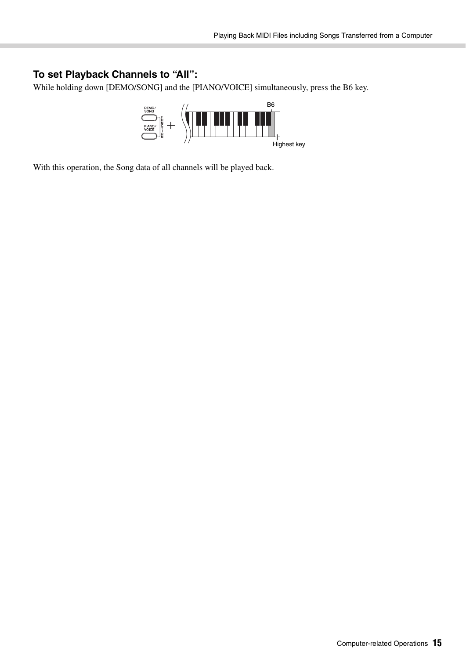#### **To set Playback Channels to "All":**

While holding down [DEMO/SONG] and the [PIANO/VOICE] simultaneously, press the B6 key.



With this operation, the Song data of all channels will be played back.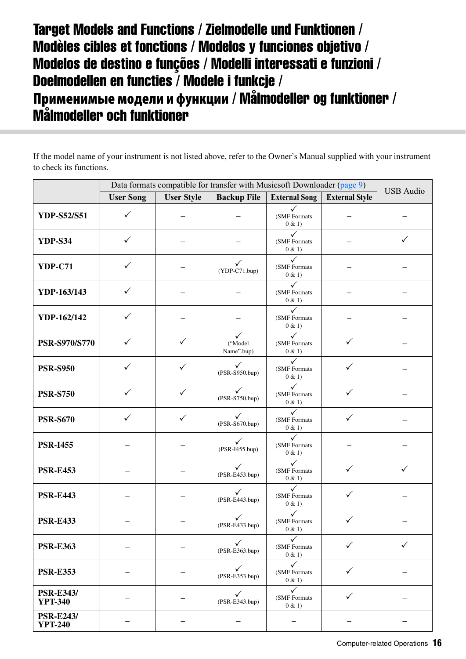# <span id="page-15-0"></span>Target Models and Functions / Zielmodelle und Funktionen / Modèles cibles et fonctions / Modelos y funciones objetivo / Modelos de destino e funções / Modelli interessati e funzioni / Doelmodellen en functies / Modele i funkcje / **Применимые модели и функции** / Målmodeller og funktioner / Målmodeller och funktioner

If the model name of your instrument is not listed above, refer to the Owner's Manual supplied with your instrument to check its functions.

|                                    | Data formats compatible for transfer with Musicsoft Downloader (page 9) |                   |                                 |                                        |                       |                  |
|------------------------------------|-------------------------------------------------------------------------|-------------------|---------------------------------|----------------------------------------|-----------------------|------------------|
|                                    | <b>User Song</b>                                                        | <b>User Style</b> | <b>Backup File</b>              | <b>External Song</b>                   | <b>External Style</b> | <b>USB</b> Audio |
| <b>YDP-S52/S51</b>                 | $\checkmark$                                                            |                   |                                 | ✓<br>(SMF Formats<br>0 & 1)            |                       |                  |
| <b>YDP-S34</b>                     | $\checkmark$                                                            |                   |                                 | (SMF Formats<br>0 & 1)                 |                       | $\checkmark$     |
| <b>YDP-C71</b>                     | ✓                                                                       |                   | $\checkmark$<br>$(YDP-C71.bup)$ | $\checkmark$<br>(SMF Formats<br>0 & 1  |                       |                  |
| YDP-163/143                        | $\checkmark$                                                            |                   |                                 | $\checkmark$<br>(SMF Formats<br>0 & 1  |                       |                  |
| YDP-162/142                        | $\checkmark$                                                            |                   |                                 | $\checkmark$<br>(SMF Formats<br>0 & 1) |                       |                  |
| <b>PSR-S970/S770</b>               | ✓                                                                       | ✓                 | ("Model<br>Name".bup)           | $\checkmark$<br>(SMF Formats<br>0 & 1) |                       |                  |
| <b>PSR-S950</b>                    | ✓                                                                       | ✓                 | $\checkmark$<br>(PSR-S950.bup)  | $\checkmark$<br>(SMF Formats<br>0 & 1) | ✓                     |                  |
| <b>PSR-S750</b>                    | $\checkmark$                                                            | $\checkmark$      | $\checkmark$<br>(PSR-S750.bup)  | $\checkmark$<br>(SMF Formats<br>0 & 1) | $\checkmark$          |                  |
| <b>PSR-S670</b>                    | $\checkmark$                                                            | $\checkmark$      | $\checkmark$<br>(PSR-S670.bup)  | ✓<br>(SMF Formats<br>0 & 1)            | $\checkmark$          |                  |
| <b>PSR-I455</b>                    |                                                                         |                   | $\checkmark$<br>(PSR-I455.bup)  | $\checkmark$<br>(SMF Formats<br>0 & 1) |                       |                  |
| <b>PSR-E453</b>                    |                                                                         |                   | $\checkmark$<br>(PSR-E453.bup)  | $\checkmark$<br>(SMF Formats<br>0 & 1  | $\checkmark$          | $\checkmark$     |
| <b>PSR-E443</b>                    |                                                                         |                   | $\checkmark$<br>(PSR-E443.bup)  | $\checkmark$<br>(SMF Formats<br>0 & 1) | $\checkmark$          |                  |
| <b>PSR-E433</b>                    |                                                                         |                   | $\checkmark$<br>(PSR-E433.bup)  | (SMF Formats<br>0 & 1)                 | $\checkmark$          |                  |
| <b>PSR-E363</b>                    |                                                                         |                   | (PSR-E363.bup)                  | $\checkmark$<br>(SMF Formats<br>0 & 1) | $\checkmark$          | $\checkmark$     |
| <b>PSR-E353</b>                    |                                                                         |                   | $\checkmark$<br>(PSR-E353.bup)  | $\checkmark$<br>(SMF Formats<br>0 & 1  | $\checkmark$          |                  |
| <b>PSR-E343/</b><br><b>YPT-340</b> |                                                                         |                   | $\checkmark$<br>(PSR-E343.bup)  | $\checkmark$<br>(SMF Formats<br>0 & 1) | $\checkmark$          |                  |
| <b>PSR-E243/</b><br><b>YPT-240</b> |                                                                         |                   |                                 |                                        |                       |                  |